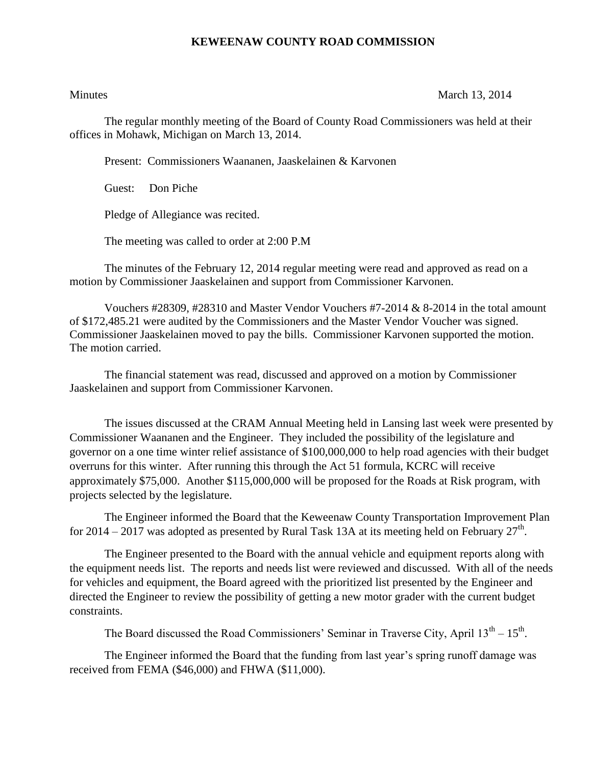## **KEWEENAW COUNTY ROAD COMMISSION**

## Minutes March 13, 2014

The regular monthly meeting of the Board of County Road Commissioners was held at their offices in Mohawk, Michigan on March 13, 2014.

Present: Commissioners Waananen, Jaaskelainen & Karvonen

Guest: Don Piche

Pledge of Allegiance was recited.

The meeting was called to order at 2:00 P.M

The minutes of the February 12, 2014 regular meeting were read and approved as read on a motion by Commissioner Jaaskelainen and support from Commissioner Karvonen.

Vouchers  $\#28309$ ,  $\#28310$  and Master Vendor Vouchers  $\#7-2014 \& 8-2014$  in the total amount of \$172,485.21 were audited by the Commissioners and the Master Vendor Voucher was signed. Commissioner Jaaskelainen moved to pay the bills. Commissioner Karvonen supported the motion. The motion carried.

The financial statement was read, discussed and approved on a motion by Commissioner Jaaskelainen and support from Commissioner Karvonen.

The issues discussed at the CRAM Annual Meeting held in Lansing last week were presented by Commissioner Waananen and the Engineer. They included the possibility of the legislature and governor on a one time winter relief assistance of \$100,000,000 to help road agencies with their budget overruns for this winter. After running this through the Act 51 formula, KCRC will receive approximately \$75,000. Another \$115,000,000 will be proposed for the Roads at Risk program, with projects selected by the legislature.

The Engineer informed the Board that the Keweenaw County Transportation Improvement Plan for 2014 – 2017 was adopted as presented by Rural Task 13A at its meeting held on February  $27^{\text{th}}$ .

The Engineer presented to the Board with the annual vehicle and equipment reports along with the equipment needs list. The reports and needs list were reviewed and discussed. With all of the needs for vehicles and equipment, the Board agreed with the prioritized list presented by the Engineer and directed the Engineer to review the possibility of getting a new motor grader with the current budget constraints.

The Board discussed the Road Commissioners' Seminar in Traverse City, April  $13<sup>th</sup> - 15<sup>th</sup>$ .

The Engineer informed the Board that the funding from last year's spring runoff damage was received from FEMA (\$46,000) and FHWA (\$11,000).